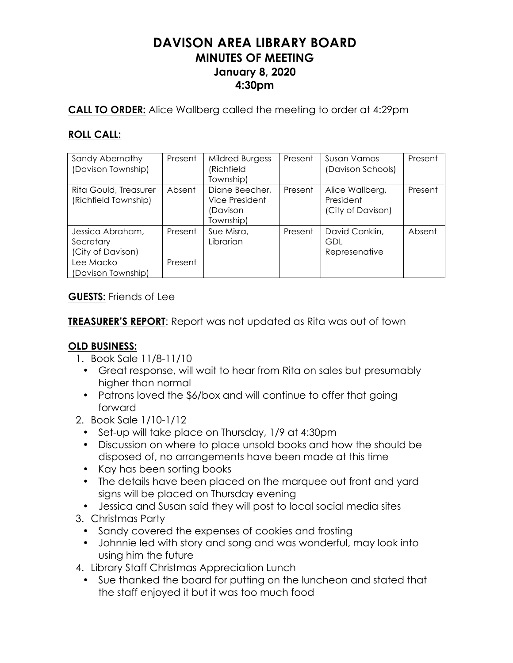# **DAVISON AREA LIBRARY BOARD MINUTES OF MEETING January 8, 2020 4:30pm**

**CALL TO ORDER:** Alice Wallberg called the meeting to order at 4:29pm

# **ROLL CALL:**

| Sandy Abernathy<br>(Davison Township)              | Present | <b>Mildred Burgess</b><br>(Richfield<br>Township)         | Present | Susan Vamos<br>(Davison Schools)                  | Present |
|----------------------------------------------------|---------|-----------------------------------------------------------|---------|---------------------------------------------------|---------|
| Rita Gould, Treasurer<br>(Richfield Township)      | Absent  | Diane Beecher,<br>Vice President<br>Davison)<br>Township) | Present | Alice Wallberg,<br>President<br>(City of Davison) | Present |
| Jessica Abraham,<br>Secretary<br>(City of Davison) | Present | Sue Misra,<br>Librarian                                   | Present | David Conklin,<br>GDL<br>Represenative            | Absent  |
| Lee Macko<br>(Davison Township)                    | Present |                                                           |         |                                                   |         |

**GUESTS:** Friends of Lee

**TREASURER'S REPORT**: Report was not updated as Rita was out of town

# **OLD BUSINESS:**

- 1. Book Sale 11/8-11/10
	- Great response, will wait to hear from Rita on sales but presumably higher than normal
	- Patrons loved the \$6/box and will continue to offer that going forward
- 2. Book Sale 1/10-1/12
	- Set-up will take place on Thursday, 1/9 at 4:30pm
	- Discussion on where to place unsold books and how the should be disposed of, no arrangements have been made at this time
	- Kay has been sorting books
	- The details have been placed on the marquee out front and yard signs will be placed on Thursday evening
	- Jessica and Susan said they will post to local social media sites
- 3. Christmas Party
	- Sandy covered the expenses of cookies and frosting
	- Johnnie led with story and song and was wonderful, may look into using him the future
- 4. Library Staff Christmas Appreciation Lunch
	- Sue thanked the board for putting on the luncheon and stated that the staff enjoyed it but it was too much food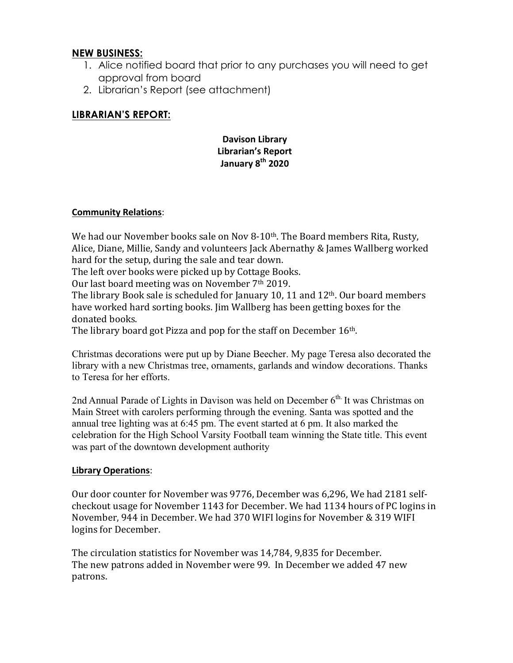# **NEW BUSINESS:**

- 1. Alice notified board that prior to any purchases you will need to get approval from board
- 2. Librarian's Report (see attachment)

# **LIBRARIAN'S REPORT:**

# **Davison Library Librarian's Report January 8th 2020**

## **Community Relations**:

We had our November books sale on Nov 8-10<sup>th</sup>. The Board members Rita, Rusty, Alice, Diane, Millie, Sandy and volunteers Jack Abernathy & James Wallberg worked hard for the setup, during the sale and tear down.

The left over books were picked up by Cottage Books.

Our last board meeting was on November  $7<sup>th</sup>$  2019.

The library Book sale is scheduled for January 10, 11 and  $12<sup>th</sup>$ . Our board members have worked hard sorting books. Jim Wallberg has been getting boxes for the donated books.

The library board got Pizza and pop for the staff on December  $16<sup>th</sup>$ .

Christmas decorations were put up by Diane Beecher. My page Teresa also decorated the library with a new Christmas tree, ornaments, garlands and window decorations. Thanks to Teresa for her efforts.

2nd Annual Parade of Lights in Davison was held on December 6<sup>th.</sup> It was Christmas on Main Street with carolers performing through the evening. Santa was spotted and the annual tree lighting was at 6:45 pm. The event started at 6 pm. It also marked the celebration for the High School Varsity Football team winning the State title. This event was part of the downtown development authority

## **Library Operations**:

Our door counter for November was 9776, December was 6,296, We had 2181 selfcheckout usage for November 1143 for December. We had 1134 hours of PC logins in November, 944 in December. We had 370 WIFI logins for November & 319 WIFI logins for December.

The circulation statistics for November was 14,784, 9,835 for December. The new patrons added in November were 99. In December we added 47 new patrons.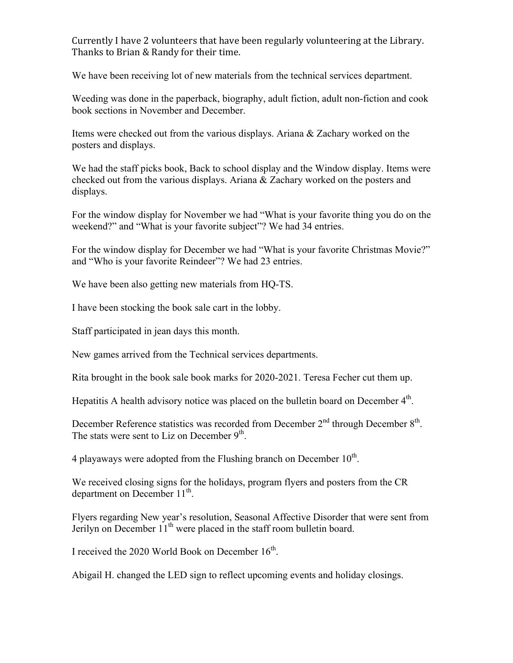Currently I have 2 volunteers that have been regularly volunteering at the Library. Thanks to Brian & Randy for their time.

We have been receiving lot of new materials from the technical services department.

Weeding was done in the paperback, biography, adult fiction, adult non-fiction and cook book sections in November and December.

Items were checked out from the various displays. Ariana & Zachary worked on the posters and displays.

We had the staff picks book, Back to school display and the Window display. Items were checked out from the various displays. Ariana & Zachary worked on the posters and displays.

For the window display for November we had "What is your favorite thing you do on the weekend?" and "What is your favorite subject"? We had 34 entries.

For the window display for December we had "What is your favorite Christmas Movie?" and "Who is your favorite Reindeer"? We had 23 entries.

We have been also getting new materials from HQ-TS.

I have been stocking the book sale cart in the lobby.

Staff participated in jean days this month.

New games arrived from the Technical services departments.

Rita brought in the book sale book marks for 2020-2021. Teresa Fecher cut them up.

Hepatitis A health advisory notice was placed on the bulletin board on December  $4<sup>th</sup>$ .

December Reference statistics was recorded from December 2<sup>nd</sup> through December 8<sup>th</sup>. The stats were sent to Liz on December  $9<sup>th</sup>$ .

4 playaways were adopted from the Flushing branch on December  $10<sup>th</sup>$ .

We received closing signs for the holidays, program flyers and posters from the CR department on December 11<sup>th</sup>.

Flyers regarding New year's resolution, Seasonal Affective Disorder that were sent from Jerilyn on December 11<sup>th</sup> were placed in the staff room bulletin board.

I received the 2020 World Book on December  $16<sup>th</sup>$ .

Abigail H. changed the LED sign to reflect upcoming events and holiday closings.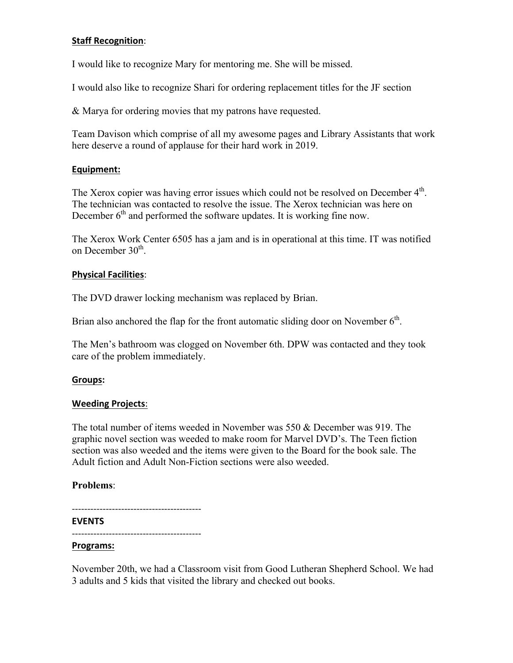#### **Staff Recognition:**

I would like to recognize Mary for mentoring me. She will be missed.

I would also like to recognize Shari for ordering replacement titles for the JF section

& Marya for ordering movies that my patrons have requested.

Team Davison which comprise of all my awesome pages and Library Assistants that work here deserve a round of applause for their hard work in 2019.

#### **Equipment:**

The Xerox copier was having error issues which could not be resolved on December 4<sup>th</sup>. The technician was contacted to resolve the issue. The Xerox technician was here on December  $6<sup>th</sup>$  and performed the software updates. It is working fine now.

The Xerox Work Center 6505 has a jam and is in operational at this time. IT was notified on December 30<sup>th</sup>.

#### **Physical Facilities**:

The DVD drawer locking mechanism was replaced by Brian.

Brian also anchored the flap for the front automatic sliding door on November  $6<sup>th</sup>$ .

The Men's bathroom was clogged on November 6th. DPW was contacted and they took care of the problem immediately.

#### **Groups:**

#### **Weeding Projects**:

The total number of items weeded in November was 550 & December was 919. The graphic novel section was weeded to make room for Marvel DVD's. The Teen fiction section was also weeded and the items were given to the Board for the book sale. The Adult fiction and Adult Non-Fiction sections were also weeded.

## **Problems**:

------------------------------------------

#### **EVENTS**

------------------------------------------

#### **Programs:**

November 20th, we had a Classroom visit from Good Lutheran Shepherd School. We had 3 adults and 5 kids that visited the library and checked out books.